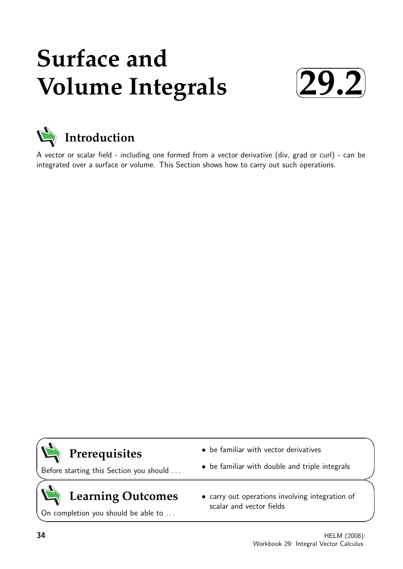# **Surface and Volume Integrals**





A vector or scalar field - including one formed from a vector derivative (div, grad or curl) - can be integrated over a surface or volume. This Section shows how to carry out such operations.

## **Prerequisites**

Before starting this Section you should . . .

## **Learning Outcomes**

On completion you should be able to ...

- be familiar with vector derivatives
- be familiar with double and triple integrals
- carry out operations involving integration of scalar and vector fields

 $\overline{\phantom{0}}$ 

 $\geq$ 

 $\geq$ 

 $\overline{\phantom{0}}$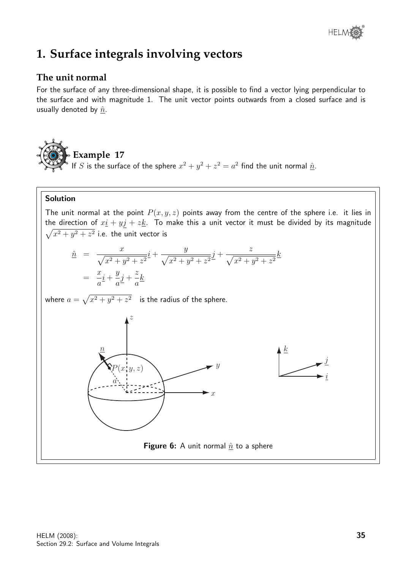

### **1. Surface integrals involving vectors**

#### **The unit normal**

For the surface of any three-dimensional shape, it is possible to find a vector lying perpendicular to the surface and with magnitude 1. The unit vector points outwards from a closed surface and is usually denoted by  $\hat{n}$ .

**Example 17** If S is the surface of the sphere  $x^2 + y^2 + z^2 = a^2$  find the unit normal  $\hat{n}$ .

#### Solution

The unit normal at the point  $P(x, y, z)$  points away from the centre of the sphere i.e. it lies in the direction of  $x_2 + y_1 + z_2$ . To make this a unit vector it must be divided by its magnitude  $\sqrt{x^2 + y^2 + z^2}$  i.e. the unit vector is

$$
\hat{n} = \frac{x}{\sqrt{x^2 + y^2 + z^2}} i + \frac{y}{\sqrt{x^2 + y^2 + z^2}} j + \frac{z}{\sqrt{x^2 + y^2 + z^2}} k
$$
\n
$$
= \frac{x}{a} i + \frac{y}{a} j + \frac{z}{a} k
$$

where  $a = \sqrt{x^2 + y^2 + z^2}$  is the radius of the sphere.

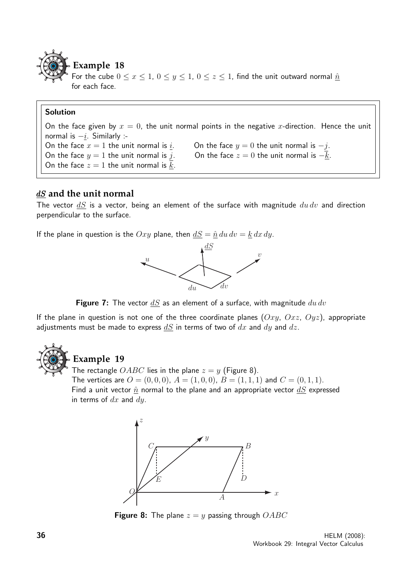

For the cube  $0 \le x \le 1$ ,  $0 \le y \le 1$ ,  $0 \le z \le 1$ , find the unit outward normal  $\hat{n}$ for each face.

#### Solution

On the face given by  $x = 0$ , the unit normal points in the negative x-direction. Hence the unit normal is  $-i$ . Similarly :-On the face  $x = 1$  the unit normal is  $\underline{i}$ . On the face  $y = 0$  the unit normal is  $-j$ . On the face  $y = 1$  the unit normal is j. On the face  $z = 0$  the unit normal is  $-k$ . On the face  $z = 1$  the unit normal is  $\underline{k}$ .

#### dS **and the unit normal**

The vector  $dS$  is a vector, being an element of the surface with magnitude  $du dv$  and direction perpendicular to the surface.

If the plane in question is the  $Oxy$  plane, then  $dS = \hat{n} du dv = k dx dy$ .



**Figure 7:** The vector  $\underline{dS}$  as an element of a surface, with magnitude  $du dv$ 

If the plane in question is not one of the three coordinate planes  $(Oxy, Oxz, Oyz)$ , appropriate adjustments must be made to express  $dS$  in terms of two of  $dx$  and  $dy$  and  $dz$ .



#### **Example 19**

The rectangle  $OABC$  lies in the plane  $z = y$  (Figure 8).

The vertices are  $O = (0, 0, 0)$ ,  $A = (1, 0, 0)$ ,  $B = (1, 1, 1)$  and  $C = (0, 1, 1)$ . Find a unit vector  $\hat{n}$  normal to the plane and an appropriate vector  $dS$  expressed in terms of  $dx$  and  $dy$ .



**Figure 8:** The plane  $z = y$  passing through  $OABC$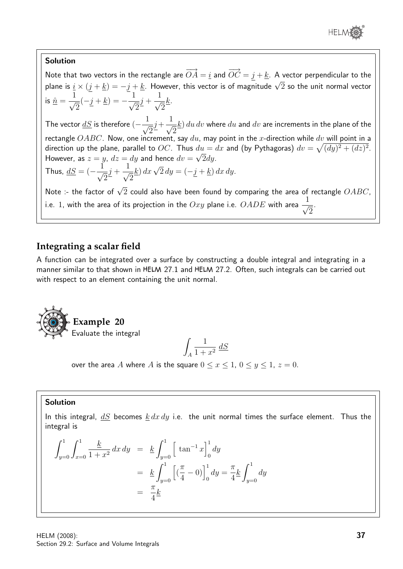

 $\overline{2}$ 

#### Solution

Note that two vectors in the rectangle are  $\overrightarrow{OA} = \underline{i}$  and  $\overrightarrow{OC} = j + \underline{k}$ . A vector perpendicular to the plane is  $i \times (j + k) = -j + k$ . However, this vector is of magnitude  $\sqrt{2}$  so the unit normal vector plane is  $i \times (j + k) = -j + k$ . However, this vector is of magnitude  $\sqrt{2}$  so the unit normal vector is  $\hat{\underline{n}} =$  $\frac{1}{\sqrt{2}}$ 2  $(-j + k) = -\frac{1}{4}$ 2  $j +$  $\frac{1}{\sqrt{2}}$ 2  $\underline{k}$ .

The vector  $\frac{dS}{ds}$  is therefore  $\left(-\frac{1}{\sqrt{2}}\right)$ 2  $j+$  $\frac{1}{\sqrt{2}}$ 2  $\left(\underline{k}\right)du\,dv$  where  $du$  and  $dv$  are increments in the plane of the rectangle  $OABC$ . Now, one increment, say  $du$ , may point in the x-direction while dv will point in a direction up the plane, parallel to OC. Thus  $du = dx$  and (by Pythagoras)  $dv = \sqrt{(dy)^2 + (dz)^2}$ . However, as  $z=y$ ,  $dz=dy$  and hence  $dv=\sqrt{2}dy$ . Thus,  $\underline{dS} = (-\frac{1}{\sqrt{2}})$ 2  $j +$  $\frac{1}{\sqrt{2}}$ 2 k) dx  $\sqrt{2} dy = (-j + k) dx dy$ . Note :- the factor of  $\sqrt{2}$  could also have been found by comparing the area of rectangle  $OABC$ , i.e. 1, with the area of its projection in the  $Oxy$  plane i.e.  $OADE$  with area  $\frac{1}{\sqrt{2}}$ .

#### **Integrating a scalar field**

A function can be integrated over a surface by constructing a double integral and integrating in a manner similar to that shown in HELM 27.1 and HELM 27.2. Often, such integrals can be carried out with respect to an element containing the unit normal.



$$
\int_A \frac{1}{1+x^2} \; \underline{dS}
$$

over the area A where A is the square  $0 \le x \le 1$ ,  $0 \le y \le 1$ ,  $z = 0$ .

#### Solution

In this integral,  $dS$  becomes  $k \, dx \, dy$  i.e. the unit normal times the surface element. Thus the integral is

$$
\int_{y=0}^{1} \int_{x=0}^{1} \frac{k}{1+x^2} dx dy = k \int_{y=0}^{1} \left[ \tan^{-1} x \right]_{0}^{1} dy
$$

$$
= k \int_{y=0}^{1} \left[ \left( \frac{\pi}{4} - 0 \right) \right]_{0}^{1} dy = \frac{\pi}{4} k \int_{y=0}^{1} dy
$$

$$
= \frac{\pi}{4} k
$$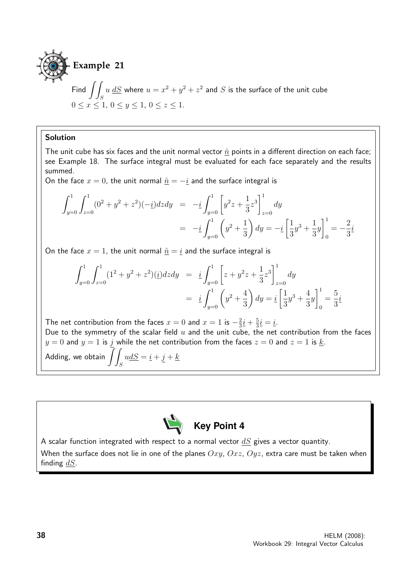

Find  $\int$ S  $u\; \underline{dS}$  where  $u=x^2+y^2+z^2$  and  $S$  is the surface of the unit cube  $0 \le x \le 1, 0 \le y \le 1, 0 \le z \le 1.$ 

#### Solution

The unit cube has six faces and the unit normal vector  $\hat{n}$  points in a different direction on each face; see Example 18. The surface integral must be evaluated for each face separately and the results summed.

On the face  $x = 0$ , the unit normal  $\hat{n} = -\hat{i}$  and the surface integral is

$$
\int_{y=0}^{1} \int_{z=0}^{1} (0^2 + y^2 + z^2)(-i) dz dy = -i \int_{y=0}^{1} \left[ y^2 z + \frac{1}{3} z^3 \right]_{z=0}^{1} dy
$$
  
= 
$$
-i \int_{y=0}^{1} \left( y^2 + \frac{1}{3} \right) dy = -i \left[ \frac{1}{3} y^3 + \frac{1}{3} y \right]_{0}^{1} = -\frac{2}{3} i
$$

On the face  $x = 1$ , the unit normal  $\hat{n} = i$  and the surface integral is

$$
\int_{y=0}^{1} \int_{z=0}^{1} (1^2 + y^2 + z^2)(i) dz dy = i \int_{y=0}^{1} \left[ z + y^2 z + \frac{1}{3} z^3 \right]_{z=0}^{1} dy
$$
  
=  $i \int_{y=0}^{1} \left( y^2 + \frac{4}{3} \right) dy = i \left[ \frac{1}{3} y^3 + \frac{4}{3} y \right]_{0}^{1} = \frac{5}{3} i$ 

The net contribution from the faces  $x = 0$  and  $x = 1$  is  $-\frac{2}{3}$  $rac{2}{3}\dot{1}+\frac{5}{3}$  $\frac{5}{3}\underline{i} = \underline{i}.$ Due to the symmetry of the scalar field  $u$  and the unit cube, the net contribution from the faces  $y = 0$  and  $y = 1$  is j while the net contribution from the faces  $z = 0$  and  $z = 1$  is  $\underline{k}$ . Adding, we obtain  $\int$ S  $u\underline{dS} = \underline{i} + \underline{j} + \underline{k}$ 



A scalar function integrated with respect to a normal vector  $dS$  gives a vector quantity. When the surface does not lie in one of the planes  $Oxy$ ,  $Oxz$ ,  $Oyz$ , extra care must be taken when finding  $dS$ .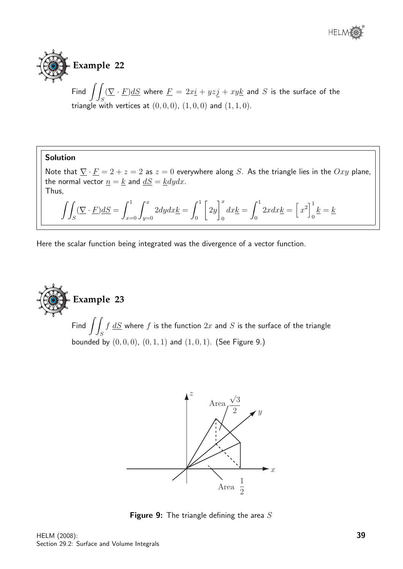



Find  $\int$ S  $(\nabla \cdot \underline{F})dS$  where  $\underline{F} = 2x\underline{i} + yz\underline{j} + xy\underline{k}$  and  $S$  is the surface of the triangle with vertices at  $(0, 0, 0)$ ,  $(1, 0, 0)$  and  $(1, 1, 0)$ .

#### Solution

Note that  $\underline{\nabla} \cdot \underline{F} = 2 + z = 2$  as  $z = 0$  everywhere along S. As the triangle lies in the  $Oxy$  plane, the normal vector  $\underline{n} = \underline{k}$  and  $\underline{dS} = \underline{k}dydx$ . Thus,

$$
\iint_{S} (\nabla \cdot \underline{F}) dS = \int_{x=0}^{1} \int_{y=0}^{x} 2dy dx \underline{k} = \int_{0}^{1} \left[ 2y \right]_{0}^{x} dx \underline{k} = \int_{0}^{1} 2x dx \underline{k} = \left[ x^{2} \right]_{0}^{1} \underline{k} = \underline{k}
$$

Here the scalar function being integrated was the divergence of a vector function.



Find  $\int$ S  $f\ dS$  where  $f$  is the function  $2x$  and  $S$  is the surface of the triangle bounded by  $(0, 0, 0)$ ,  $(0, 1, 1)$  and  $(1, 0, 1)$ . (See Figure 9.)



**Figure 9:** The triangle defining the area  $S$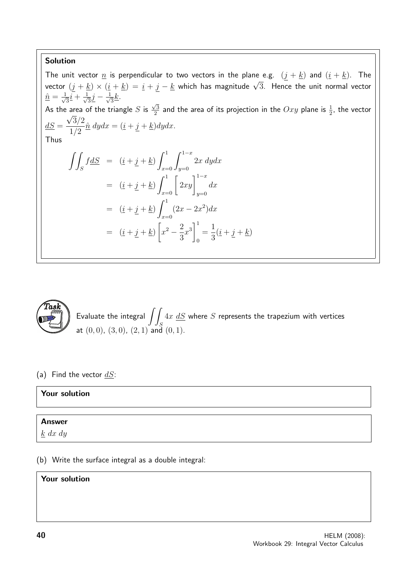#### Solution

The unit vector  $\underline{n}$  is perpendicular to two vectors in the plane e.g.  $(\underline{j} + \underline{k})$  and  $(\underline{i} + \underline{k})$ . The vector  $(j + \underline{k}) \times (\underline{i} + \underline{k}) = \underline{i} + \underline{j} - \underline{k}$  which has magnitude  $\sqrt{3}$ . Hence the unit normal vector  $\hat{\underline{n}} = \frac{1}{\sqrt{2}}$  $\overline{3}\overline{1} + \frac{1}{\sqrt{2}}$  $\overline{3}\underline{j}-\frac{1}{\sqrt{3}}$  $\overline{3}\frac{k}{\sqrt{2}}$ . As the area of the triangle  $S$  is  $\frac{\sqrt{3}}{2}$ area of the triangle  $S$  is  $\frac{\sqrt{3}}{2}$  and the area of its projection in the  $Oxy$  plane is  $\frac{1}{2}$ , the vector  $dS =$  $3/2$ 1/2  $\hat{\underline{n}} \, dy dx = (\underline{i} + \underline{j} + \underline{k}) dy dx.$ Thus  $\int$ S  $fdS = (\underline{i} + \underline{j} + \underline{k})$  $x=0$  $\int_0^{1-x}$  $y=0$ 2x dydx  $=$   $(\underline{i} + \underline{j} + \underline{k}) \int_{x=0}^{1} \left[ 2xy \right]_{y=0}^{1-x}$  $y=0$  $dx$  $=$   $(\underline{i} + \underline{j} + \underline{k})$   $\int_0^1$  $x=0$  $(2x-2x^2)dx$  $= (\underline{i} + \underline{j} + \underline{k})$  $\sqrt{ }$  $x^2 - \frac{2}{3}$ 3  $x^3\Big]^1$ 0 = 1 3  $(\underline{i} + j + \underline{k})$ 



Evaluate the integral  $\int$ S  $4x$   $\underline{dS}$  where  $S$  represents the trapezium with vertices at  $(0, 0)$ ,  $(3, 0)$ ,  $(2, 1)$  and  $(0, 1)$ .

(a) Find the vector  $dS$ :

#### Your solution

#### Answer

k dx dy

(b) Write the surface integral as a double integral:

#### Your solution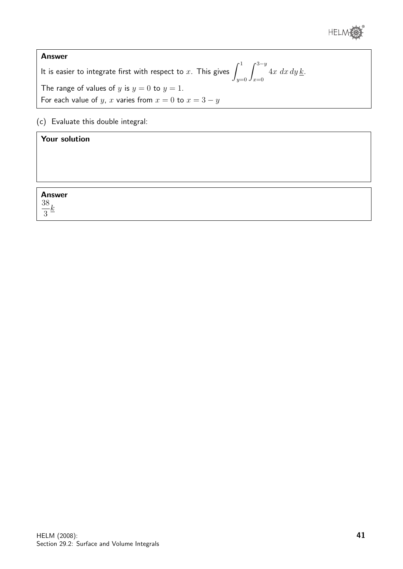

#### Answer It is easier to integrate first with respect to  $x.$  This gives  $\int^1$  $y=0$  $\int^{3-y}$  $x=0$  $4x\,dx\,dy\,\underline{k}$ . The range of values of y is  $y = 0$  to  $y = 1$ . For each value of y, x varies from  $x = 0$  to  $x = 3 - y$

(c) Evaluate this double integral:

#### Your solution

Answer

38 3 k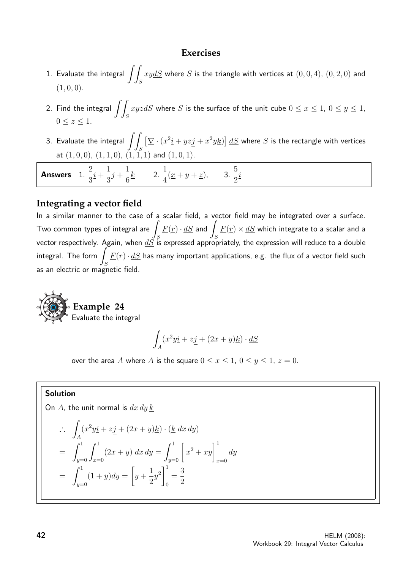#### **Exercises**

- 1. Evaluate the integral  $\int$ S  $xydS$  where  $S$  is the triangle with vertices at  $(0,0,4)$ ,  $(0,2,0)$  and  $(1, 0, 0).$
- 2. Find the integral  $\int$ S  $xyz\underline{d}S$  where  $S$  is the surface of the unit cube  $0\leq x\leq 1, \, 0\leq y\leq 1,$  $0 \leq z \leq 1$ .
- 3. Evaluate the integral  $\int$   $\int$ S  $\left[\nabla \cdot (x^2 \underline{i} + yz j + x^2 y \underline{k})\right] dS$  where S is the rectangle with vertices at  $(1, 0, 0)$ ,  $(1, 1, 0)$ ,  $(1, 1, 1)$  and  $(1, 0, 1)$ .

i

Answers 1. 2 3  $\frac{i}{2} +$ 1 3  $j +$ 1 6  $k$  2. 1 4  $(\underline{x} + y + \underline{z})$ , 3. 5 2

#### **Integrating a vector field**

In a similar manner to the case of a scalar field, a vector field may be integrated over a surface. Two common types of integral are  $\overline{\phantom{a}}$ S  $\underline{F}(\underline{r}) \cdot \underline{dS}$  and S  $\underline{F}(\underline{r})\times \underline{dS}$  which integrate to a scalar and a vector respectively. Again, when  $\underline{dS}$  is expressed appropriately, the expression will reduce to a double  $integral.$  The form  $\overline{I}$ S  $\underline{F}(r)\cdot \underline{dS}$  has many important applications, e.g. the flux of a vector field such as an electric or magnetic field.



$$
\int_A (x^2 y \underline{i} + z \underline{j} + (2x + y)\underline{k}) \cdot \underline{dS}
$$

over the area A where A is the square  $0 \le x \le 1$ ,  $0 \le y \le 1$ ,  $z = 0$ .

#### Solution

On A, the unit normal is  $dx dy k$ 

$$
\therefore \int_A (x^2 y \dot{\underline{i}} + z \dot{\underline{j}} + (2x + y) \underline{k}) \cdot (\underline{k} \, dx \, dy)
$$
  
= 
$$
\int_{y=0}^1 \int_{x=0}^1 (2x + y) \, dx \, dy = \int_{y=0}^1 \left[ x^2 + xy \right]_{x=0}^1 dy
$$
  
= 
$$
\int_{y=0}^1 (1 + y) dy = \left[ y + \frac{1}{2} y^2 \right]_0^1 = \frac{3}{2}
$$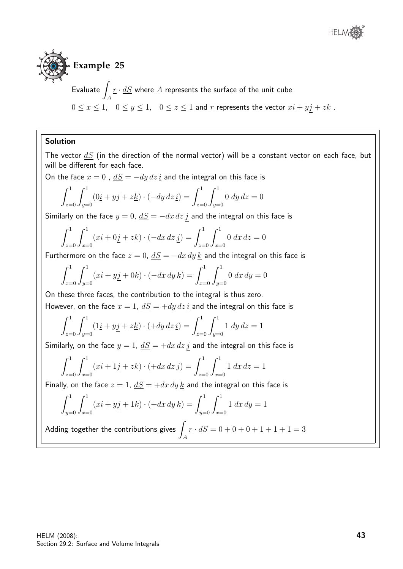

 $E$ valuate  $\sqrt{2}$ A  $\underline{r}\cdot \underline{dS}$  where  $A$  represents the surface of the unit cube  $0 \le x \le 1$ ,  $0 \le y \le 1$ ,  $0 \le z \le 1$  and  $\underline{r}$  represents the vector  $x\underline{i} + y\underline{j} + z\underline{k}$ .

#### Solution

The vector  $dS$  (in the direction of the normal vector) will be a constant vector on each face, but will be different for each face.

On the face  $x = 0$ ,  $dS = -dy dz$  *i* and the integral on this face is

$$
\int_{z=0}^{1} \int_{y=0}^{1} (0\underline{i} + y\underline{j} + z\underline{k}) \cdot (-dy \, dz \, \underline{i}) = \int_{z=0}^{1} \int_{y=0}^{1} 0 \, dy \, dz = 0
$$

Similarly on the face  $y = 0$ ,  $\underline{dS} = -dx\,dz\,\underline{j}$  and the integral on this face is

$$
\int_{z=0}^{1} \int_{x=0}^{1} (x \underline{i} + 0 \underline{j} + z \underline{k}) \cdot (-dx \, dz \, \underline{j}) = \int_{z=0}^{1} \int_{x=0}^{1} 0 \, dx \, dz = 0
$$

Furthermore on the face  $z = 0$ ,  $dS = -dx dy k$  and the integral on this face is

$$
\int_{x=0}^{1} \int_{y=0}^{1} (x \underline{i} + y \underline{j} + 0 \underline{k}) \cdot (-dx \, dy \, \underline{k}) = \int_{x=0}^{1} \int_{y=0}^{1} 0 \, dx \, dy = 0
$$

On these three faces, the contribution to the integral is thus zero.

However, on the face  $x = 1$ ,  $dS = +dy dz \, i$  and the integral on this face is

$$
\int_{z=0}^{1} \int_{y=0}^{1} (1\underline{i} + y\underline{j} + z\underline{k}) \cdot (+dy \, dz \, \underline{i}) = \int_{z=0}^{1} \int_{y=0}^{1} 1 \, dy \, dz = 1
$$

Similarly, on the face  $y = 1$ ,  $\underline{dS} = +dx dz j$  and the integral on this face is

$$
\int_{z=0}^{1} \int_{x=0}^{1} (x \underline{i} + 1 \underline{j} + z \underline{k}) \cdot (+ dx \, dz \, \underline{j}) = \int_{z=0}^{1} \int_{x=0}^{1} 1 \, dx \, dz = 1
$$

Finally, on the face  $z = 1$ ,  $dS = +dx dy k$  and the integral on this face is

$$
\int_{y=0}^{1} \int_{x=0}^{1} (x_1 \cdot y_1 + 1 \cdot \frac{1}{x}) \cdot (+dx \, dy \, \frac{1}{x}) = \int_{y=0}^{1} \int_{x=0}^{1} 1 \, dx \, dy = 1
$$

Adding together the contributions gives  $\overline{\phantom{a}}$ A  $r \cdot dS = 0 + 0 + 0 + 1 + 1 + 1 = 3$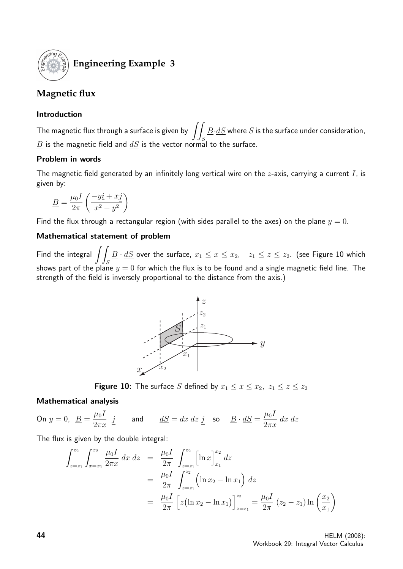

### **Engineering Example 3**

### **Magnetic flux**

#### Introduction

The magnetic flux through a surface is given by  $\int_{\mathbb{R}}$ S  $\underline{B}\!\cdot\!\underline{dS}$  where  $S$  is the surface under consideration,  $\underline{B}$  is the magnetic field and  $\underline{dS}$  is the vector normal to the surface.

#### Problem in words

The magnetic field generated by an infinitely long vertical wire on the z-axis, carrying a current  $I$ , is given by:

$$
\underline{B} = \frac{\mu_0 I}{2\pi} \left( \frac{-y \underline{i} + x \underline{j}}{x^2 + y^2} \right)
$$

Find the flux through a rectangular region (with sides parallel to the axes) on the plane  $y = 0$ .

#### Mathematical statement of problem

Find the integral  $\int$ S  $\underline{B}\cdot \underline{dS}$  over the surface,  $x_1\leq x\leq x_2,\quad z_1\leq z\leq z_2.$  (see Figure 10 which shows part of the plane  $y=0$  for which the flux is to be found and a single magnetic field line. The strength of the field is inversely proportional to the distance from the axis.)



**Figure 10:** The surface S defined by  $x_1 \le x \le x_2$ ,  $z_1 \le z \le z_2$ 

#### Mathematical analysis

On  $y = 0$ ,  $\underline{B} = \frac{\mu_0 I}{2}$  $2\pi x$ *j* and  $dS = dx dz j$  so  $B \cdot dS = \frac{\mu_0 I}{2}$  $2\pi x$ dx dz

The flux is given by the double integral:

$$
\int_{z=z_1}^{z_2} \int_{x=x_1}^{x_2} \frac{\mu_0 I}{2\pi x} dx dz = \frac{\mu_0 I}{2\pi} \int_{z=z_1}^{z_2} \left[ \ln x \right]_{x_1}^{x_2} dz
$$
  
\n
$$
= \frac{\mu_0 I}{2\pi} \int_{z=z_1}^{z_2} \left( \ln x_2 - \ln x_1 \right) dz
$$
  
\n
$$
= \frac{\mu_0 I}{2\pi} \left[ z (\ln x_2 - \ln x_1) \right]_{z=z_1}^{z_2} = \frac{\mu_0 I}{2\pi} (z_2 - z_1) \ln \left( \frac{x_2}{x_1} \right)
$$

**44** HELM (2008): Workbook 29: Integral Vector Calculus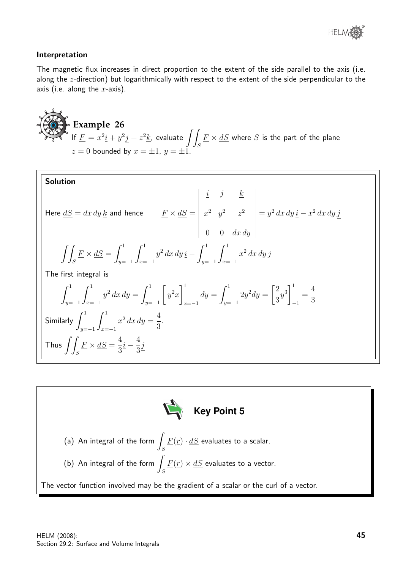

#### Interpretation

The magnetic flux increases in direct proportion to the extent of the side parallel to the axis (i.e. along the z-direction) but logarithmically with respect to the extent of the side perpendicular to the axis (i.e. along the  $x$ -axis).

**Example 26**  
If 
$$
\underline{F} = x^2 \underline{i} + y^2 \underline{j} + z^2 \underline{k}
$$
, evaluate  $\iint_S \underline{F} \times dS$  where *S* is the part of the plane  $z = 0$  bounded by  $x = \pm 1$ ,  $y = \pm 1$ .

Solution  
\nHere 
$$
\underline{dS} = dx dy \underline{k}
$$
 and hence  $\underline{F} \times \underline{dS} = \begin{vmatrix} \underline{i} & \underline{j} & \underline{k} \\ x^2 & y^2 & z^2 \\ 0 & 0 & dx dy \end{vmatrix} = y^2 dx dy \underline{i} - x^2 dx dy \underline{j}$   
\n
$$
\iint_S \underline{F} \times \underline{dS} = \int_{y=-1}^1 \int_{x=-1}^1 y^2 dx dy \underline{i} - \int_{y=-1}^1 \int_{x=-1}^1 x^2 dx dy \underline{j}
$$
\nThe first integral is  
\n
$$
\int_{y=-1}^1 \int_{x=-1}^1 y^2 dx dy = \int_{y=-1}^1 \left[ y^2 x \right]_{x=-1}^1 dy = \int_{y=-1}^1 2y^2 dy = \left[ \frac{2}{3}y^3 \right]_{-1}^1 = \frac{4}{3}
$$
\nSimilarly  $\int_{y=-1}^1 \int_{x=-1}^1 x^2 dx dy = \frac{4}{3}$ .  
\nThus  $\iint_S \underline{F} \times \underline{dS} = \frac{4}{3} \underline{i} - \frac{4}{3} \underline{j}$ 

Key Point 5 (a) An integral of the form  $\overline{\phantom{a}}$ S  $\underline{F}(\underline{r}) \cdot \underline{dS}$  evaluates to a scalar. (b) An integral of the form  $\int$ S  $F(r) \times dS$  evaluates to a vector. The vector function involved may be the gradient of a scalar or the curl of a vector.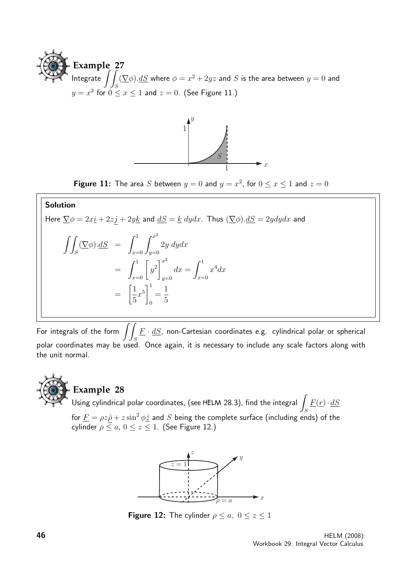



**Figure 11:** The area S between  $y = 0$  and  $y = x^2$ , for  $0 \le x \le 1$  and  $z = 0$ 

#### Solution

Here  $\overline{\nabla}\phi = 2x\underline{i} + 2z\underline{j} + 2y\underline{k}$  and  $\underline{dS} = \underline{k}$   $dydx$ . Thus  $(\overline{\nabla}\phi) \cdot \underline{dS} = 2ydydx$  and

$$
\iint_{S} (\nabla \phi) \cdot dS = \int_{x=0}^{1} \int_{y=0}^{x^{2}} 2y \, dy dx
$$

$$
= \int_{x=0}^{1} \left[ y^{2} \right]_{y=0}^{x^{2}} dx = \int_{x=0}^{1} x^{4} dx
$$

$$
= \left[ \frac{1}{5} x^{5} \right]_{0}^{1} = \frac{1}{5}
$$

For integrals of the form  $\int\!\!\int \underline{F}\cdot\underline{dS}$ , non-Cartesian coordinates e.g. cylindrical polar or spherical polar coordinates may be used. Once again, it is necessary to include any scale factors along with the unit normal.



#### **Example 28**

Using cylindrical polar coordinates, (see HELM 28.3), find the integral y S  $\underline{F}(\underline{r})\cdot \underline{dS}$ for  $\underline{F} = \rho z \hat{\rho} + z \sin^2 \phi \hat{z}$  and  $S$  being the complete surface (including ends) of the

cylinder  $\rho \leq a$ ,  $0 \leq z \leq 1$ . (See Figure 12.)



**Figure 12:** The cylinder  $\rho \le a, 0 \le z \le 1$ 

**46** HELM (2008): Workbook 29: Integral Vector Calculus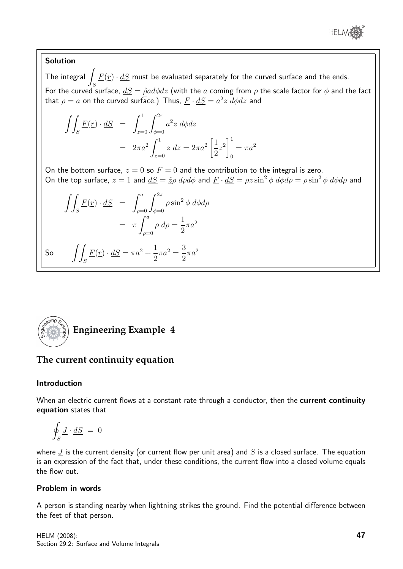

#### Solution

The integral  $\int \underline{F(r)} \cdot d\underline{S}$  must be evaluated separately for the curved surface and the ends.  $\frac{J_S}{S}$ For the curved surface,  $\underline{dS} = \hat{\rho}ad\phi dz$  (with the  $a$  coming from  $\rho$  the scale factor for  $\phi$  and the fact that  $\rho=a$  on the curved surface.) Thus,  $\underline{F}\cdot \underline{dS}=a^2z\ d\phi dz$  and

$$
\iint_{S} \underline{F}(\underline{r}) \cdot \underline{dS} = \int_{z=0}^{1} \int_{\phi=0}^{2\pi} a^{2} z \, d\phi dz
$$

$$
= 2\pi a^{2} \int_{z=0}^{1} z \, dz = 2\pi a^{2} \left[ \frac{1}{2} z^{2} \right]_{0}^{1} = \pi a^{2}
$$

On the bottom surface,  $z = 0$  so  $\underline{F} = \underline{0}$  and the contribution to the integral is zero. On the top surface,  $z = 1$  and  $dS = \hat{z}_P d\rho d\phi$  and  $\underline{F} \cdot dS = \rho z \sin^2 \phi d\phi d\rho = \rho \sin^2 \phi d\phi d\rho$  and

$$
\iint_{S} \underline{F}(\underline{r}) \cdot \underline{dS} = \int_{\rho=0}^{a} \int_{\phi=0}^{2\pi} \rho \sin^{2} \phi \, d\phi d\rho
$$

$$
= \pi \int_{\rho=0}^{a} \rho \, d\rho = \frac{1}{2} \pi a^{2}
$$
  
So 
$$
\iint_{S} \underline{F}(\underline{r}) \cdot \underline{dS} = \pi a^{2} + \frac{1}{2} \pi a^{2} = \frac{3}{2} \pi a^{2}
$$



#### **The current continuity equation**

#### Introduction

When an electric current flows at a constant rate through a conductor, then the current continuity equation states that

$$
\oint_S \underline{J} \cdot \underline{dS} = 0
$$

where  $J$  is the current density (or current flow per unit area) and  $S$  is a closed surface. The equation is an expression of the fact that, under these conditions, the current flow into a closed volume equals the flow out.

#### Problem in words

A person is standing nearby when lightning strikes the ground. Find the potential difference between the feet of that person.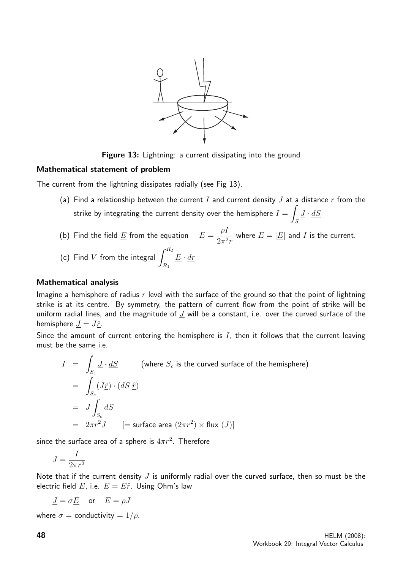

Figure 13: Lightning: a current dissipating into the ground

#### Mathematical statement of problem

The current from the lightning dissipates radially (see Fig 13).

- (a) Find a relationship between the current I and current density  $J$  at a distance  $r$  from the strike by integrating the current density over the hemisphere  $I=\overline{I}$ S  $\underline{J}\cdot\underline{dS}$
- (b) Find the field  $\underline{E}$  from the equation  $E=$  $\rho$ l  $2\pi^2r$ where  $E = |\underline{E}|$  and I is the current.
- (c) Find  $V$  from the integral  $\,\,\int^{R_2}\,$  $R_1$  $\underline{E} \cdot \underline{dr}$

#### Mathematical analysis

Imagine a hemisphere of radius  $r$  level with the surface of the ground so that the point of lightning strike is at its centre. By symmetry, the pattern of current flow from the point of strike will be uniform radial lines, and the magnitude of  $J$  will be a constant, i.e. over the curved surface of the hemisphere  $\underline{J} = J\hat{r}$ .

Since the amount of current entering the hemisphere is  $I$ , then it follows that the current leaving must be the same i.e.

$$
I = \int_{S_c} \underline{J} \cdot \underline{dS}
$$
 (where  $S_c$  is the curved surface of the hemisphere)  
\n
$$
= \int_{S_c} (J\hat{\underline{r}}) \cdot (dS \hat{\underline{r}})
$$
\n
$$
= J \int_{S_c} dS
$$
\n
$$
= 2\pi r^2 J \quad [ = \text{surface area } (2\pi r^2) \times \text{flux } (J)]
$$

since the surface area of a sphere is  $4\pi r^2$ . Therefore

$$
J=\frac{I}{2\pi r^2}
$$

Note that if the current density  $J$  is uniformly radial over the curved surface, then so must be the electric field  $\underline{E}$ , i.e.  $\underline{E} = E\hat{r}$ . Using Ohm's law

$$
\underline{J} = \sigma \underline{E}
$$
 or  $E = \rho J$ 

where  $\sigma =$  conductivity =  $1/\rho$ .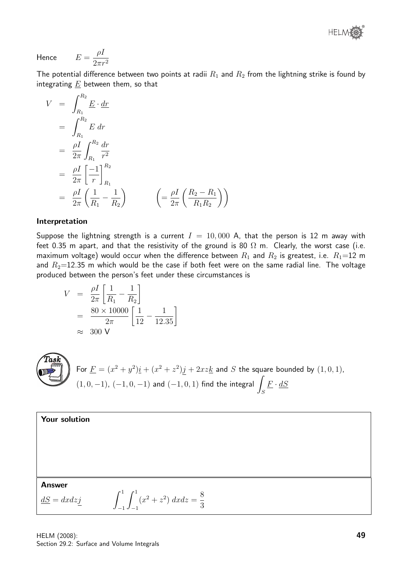® **HELM** 

Hence 
$$
E = \frac{\rho I}{2\pi r^2}
$$

The potential difference between two points at radii  $R_1$  and  $R_2$  from the lightning strike is found by integrating  $\underline{E}$  between them, so that

$$
V = \int_{R_1}^{R_2} \underline{E} \cdot \underline{dr}
$$
  
\n
$$
= \int_{R_1}^{R_2} E \, dr
$$
  
\n
$$
= \frac{\rho I}{2\pi} \int_{R_1}^{R_2} \frac{dr}{r^2}
$$
  
\n
$$
= \frac{\rho I}{2\pi} \left[ \frac{-1}{r} \right]_{R_1}^{R_2}
$$
  
\n
$$
= \frac{\rho I}{2\pi} \left( \frac{1}{R_1} - \frac{1}{R_2} \right) \qquad \left( = \frac{\rho I}{2\pi} \left( \frac{R_2 - R_1}{R_1 R_2} \right) \right)
$$

#### Interpretation

Suppose the lightning strength is a current  $I = 10,000$  A, that the person is 12 m away with feet 0.35 m apart, and that the resistivity of the ground is 80  $\Omega$  m. Clearly, the worst case (i.e. maximum voltage) would occur when the difference between  $R_1$  and  $R_2$  is greatest, i.e.  $R_1$ =12 m and  $R_2$ =12.35 m which would be the case if both feet were on the same radial line. The voltage produced between the person's feet under these circumstances is

$$
V = \frac{\rho I}{2\pi} \left[ \frac{1}{R_1} - \frac{1}{R_2} \right]
$$
  
=  $\frac{80 \times 10000}{2\pi} \left[ \frac{1}{12} - \frac{1}{12.35} \right]$   
  $\approx 300 \text{ V}$ 



For 
$$
\underline{F} = (x^2 + y^2)\underline{i} + (x^2 + z^2)\underline{j} + 2xz\underline{k}
$$
 and *S* the square bounded by  $(1, 0, 1)$ ,  $(1, 0, -1)$ ,  $(-1, 0, -1)$  and  $(-1, 0, 1)$  find the integral  $\int_S \underline{F} \cdot d\underline{S}$ 

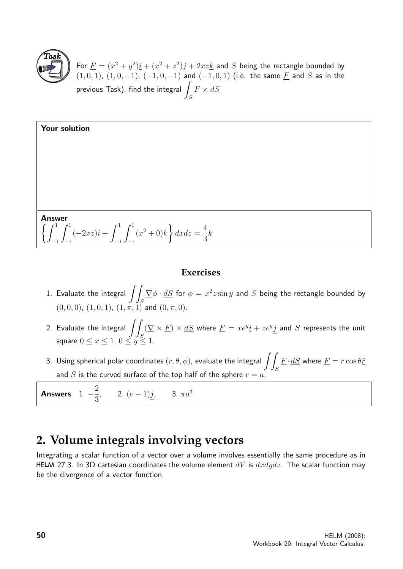

For  $\underline{F} = (x^2 + y^2)\underline{i} + (x^2 + z^2)\underline{j} + 2xz\underline{k}$  and S being the rectangle bounded by  $(1, 0, 1)$ ,  $(1, 0, -1)$ ,  $(-1, 0, -1)$  and  $(-1, 0, 1)$  (i.e. the same  $\underline{F}$  and  $S$  as in the previous Task), find the integral  $\overline{\phantom{a}}$ S  $\underline{F}\times \underline{dS}$ 

| Your solution                                                                                                                                                               |
|-----------------------------------------------------------------------------------------------------------------------------------------------------------------------------|
|                                                                                                                                                                             |
|                                                                                                                                                                             |
|                                                                                                                                                                             |
|                                                                                                                                                                             |
| <b>Answer</b><br>$\left[\right.\left\{\int_{-1}^{1}\int_{-1}^{1}(-2xz)\underline{i}+\int_{-1}^{1}\int_{-1}^{1}(x^2+0)\underline{k}\right\}dx dz = \frac{4}{3}\underline{k}$ |

#### **Exercises**

- 1. Evaluate the integral  $\int$ S  $\nabla \phi \cdot dS$  for  $\phi = x^2 z \sin y$  and  $S$  being the rectangle bounded by  $(0, 0, 0)$ ,  $(1, 0, 1)$ ,  $(1, \pi, 1)$  and  $(0, \pi, 0)$ .
- 2. Evaluate the integral  $\int$ S  $(\nabla \times F) \times dS$  where  $F = xe^{y}i + ze^{y}j$  and S represents the unit square  $0\leq x\leq 1,\,0\leq y\leq 1.$
- 3. Using spherical polar coordinates  $(r, \theta, \phi)$ , evaluate the integral  $\int \bm{Z}$ S  $\underline{F}\!\cdot\!\underline{dS}$  where  $\underline{F}=r\cos\theta \hat{\underline{r}}$ and S is the curved surface of the top half of the sphere  $r = a$ .

Answers 1.  $-\frac{2}{3}$ 3 , 2.  $(e-1)j$ , 3.  $\pi a^3$ 

### **2. Volume integrals involving vectors**

Integrating a scalar function of a vector over a volume involves essentially the same procedure as in HELM 27.3. In 3D cartesian coordinates the volume element  $dV$  is  $dxdydz$ . The scalar function may be the divergence of a vector function.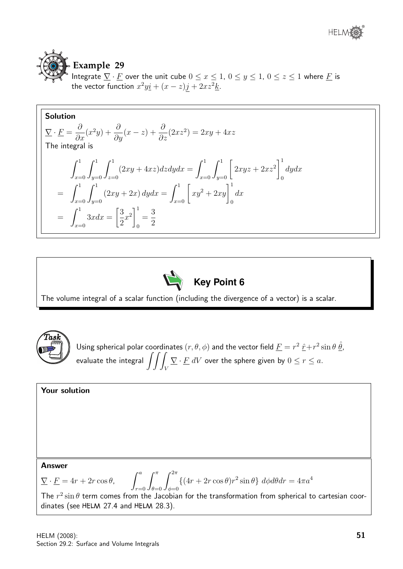

## **Example 29**

Integrate  $\nabla \cdot \underline{F}$  over the unit cube  $0 \le x \le 1$ ,  $0 \le y \le 1$ ,  $0 \le z \le 1$  where  $\underline{F}$  is the vector function  $x^2 y \underline{i} + (x - z) \underline{j} + 2xz^2 \underline{k}$ .

Solution  
\n
$$
\nabla \cdot \underline{F} = \frac{\partial}{\partial x}(x^2y) + \frac{\partial}{\partial y}(x-z) + \frac{\partial}{\partial z}(2xz^2) = 2xy + 4xz
$$
\nThe integral is  
\n
$$
\int_{x=0}^1 \int_{y=0}^1 \int_{z=0}^1 (2xy + 4xz) dz dy dx = \int_{x=0}^1 \int_{y=0}^1 \left[ 2xyz + 2xz^2 \right]_0^1 dy dx
$$
\n
$$
= \int_{x=0}^1 \int_{y=0}^1 (2xy + 2x) dy dx = \int_{x=0}^1 \left[ xy^2 + 2xy \right]_0^1 dx
$$
\n
$$
= \int_{x=0}^1 3xdx = \left[ \frac{3}{2}x^2 \right]_0^1 = \frac{3}{2}
$$



The volume integral of a scalar function (including the divergence of a vector) is a scalar.



```
Using spherical polar coordinates (r, \theta, \phi) and the vector field \underline{F} = r^2 \, \hat{\underline{r}} + r^2 \sin \theta \, \hat{\underline{\theta}} ,evaluate the integral \int \int \intV
                                                    \underline{\nabla} \cdot \underline{F} \ dV over the sphere given by 0 \leq r \leq a.
```

| Your solution                                                                                                                                                                              |
|--------------------------------------------------------------------------------------------------------------------------------------------------------------------------------------------|
|                                                                                                                                                                                            |
|                                                                                                                                                                                            |
|                                                                                                                                                                                            |
|                                                                                                                                                                                            |
|                                                                                                                                                                                            |
|                                                                                                                                                                                            |
|                                                                                                                                                                                            |
| Answer                                                                                                                                                                                     |
| $\sum \cdot \underline{F} = 4r + 2r \cos \theta, \qquad \int_{\pi=0}^{a} \int_{\phi=0}^{\pi} \int_{\phi=0}^{2\pi} \{ (4r + 2r \cos \theta) r^2 \sin \theta \} d\phi d\theta dr = 4\pi a^4$ |
| The $r^2 \sin \theta$ term comes from the Jacobian for the transformation from spherical to cartesian coor-                                                                                |
| dinates (see HELM 27.4 and HELM 28.3).                                                                                                                                                     |
|                                                                                                                                                                                            |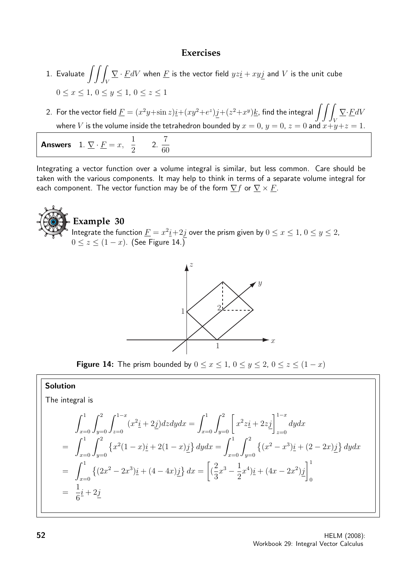#### **Exercises**

- 1. Evaluate  $\int \int$ V  $\nabla \cdot \underline{F} dV$  when  $\underline{F}$  is the vector field  $yz\underline{i}+xy\overline{j}$  and  $V$  is the unit cube  $0 \leq x \leq 1, 0 \leq y \leq 1, 0 \leq z \leq 1$
- 2. For the vector field  $\underline{F}=(x^2y+\sin z)\underline{i}+(xy^2+e^z)j+(z^2+x^y)\underline{k}$ , find the integral  $\int\int\int\overline{D}$ V  $\nabla \cdot \underline{F} dV$ where V is the volume inside the tetrahedron bounded by  $x = 0$ ,  $y = 0$ ,  $z = 0$  and  $x+y+z=1$ .

Answers 1.  $\nabla \cdot \underline{F} = x$ ,  $\frac{1}{2}$ 2 2. 7 60

Integrating a vector function over a volume integral is similar, but less common. Care should be taken with the various components. It may help to think in terms of a separate volume integral for each component. The vector function may be of the form  $\nabla f$  or  $\nabla \times F$ .





**Figure 14:** The prism bounded by  $0 \le x \le 1$ ,  $0 \le y \le 2$ ,  $0 \le z \le (1 - x)$ 

#### Solution

The integral is

$$
\int_{x=0}^{1} \int_{y=0}^{2} \int_{z=0}^{1-x} (x^2 \underline{i} + 2 \underline{j}) dz dy dx = \int_{x=0}^{1} \int_{y=0}^{2} \left[ x^2 z \underline{i} + 2 z \underline{j} \right]_{z=0}^{1-x} dy dx
$$
  
\n
$$
= \int_{x=0}^{1} \int_{y=0}^{2} \left\{ x^2 (1-x) \underline{i} + 2(1-x) \underline{j} \right\} dy dx = \int_{x=0}^{1} \int_{y=0}^{2} \left\{ (x^2 - x^3) \underline{i} + (2 - 2x) \underline{j} \right\} dy dx
$$
  
\n
$$
= \int_{x=0}^{1} \left\{ (2x^2 - 2x^3) \underline{i} + (4 - 4x) \underline{j} \right\} dx = \left[ \left( \frac{2}{3}x^3 - \frac{1}{2}x^4 \right) \underline{i} + (4x - 2x^2) \underline{j} \right]_{0}^{1}
$$
  
\n
$$
= \frac{1}{6} \underline{i} + 2 \underline{j}
$$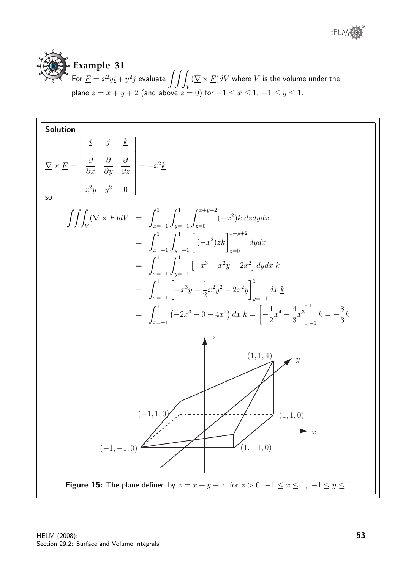



Solution  
\n
$$
\nabla \times \underline{F} = \begin{vmatrix}\ni & j & k \\
\frac{\partial}{\partial x} & \frac{\partial}{\partial y} & \frac{\partial}{\partial z} \\
x^2 y & y^2 & 0\n\end{vmatrix} = -x^2 \underline{k}
$$
\n
$$
\int \int \int_V (\nabla \times \underline{F})dV = \int_{x=-1}^{1} \int_{y=-1}^{1} \int_{z=0}^{x+y+2} (-x^2) \underline{k} dz dy dx
$$
\n
$$
= \int_{x=-1}^{1} \int_{y=-1}^{1} [(-x^2) \underline{k}]_{z=0}^{x+y+2} dy dx
$$
\n
$$
= \int_{x=-1}^{1} \int_{y=-1}^{1} [-x^3 - x^2y - 2x^2] dy dx \underline{k}
$$
\n
$$
= \int_{x=-1}^{1} [-x^3y - \frac{1}{2}x^2y^2 - 2x^2y]_{y=-1}^{1} dx \underline{k}
$$
\n
$$
= \int_{x=-1}^{1} (-2x^3 - 0 - 4x^2) dx \underline{k} = \left[ -\frac{1}{2}x^4 - \frac{4}{3}x^3 \right]_{-1}^{1} \underline{k} = -\frac{8}{3} \underline{k}
$$
\n
$$
= \int_{x=-1}^{1} (-2x^3 - 0 - 4x^2) dx \underline{k} = \left[ -\frac{1}{2}x^4 - \frac{4}{3}x^3 \right]_{-1}^{1} \underline{k} = -\frac{8}{3} \underline{k}
$$
\n
$$
= \int_{x=-1}^{1} (1,1,0)
$$
\n
$$
= \int_{x=-1}^{1} \int_{y=-1}^{1} (1,1,0)
$$
\nFigure 15: The plane defined by  $z = x + y + z$ , for  $z > 0$ ,  $-1 \le x \le 1$ ,  $-1 \le y \le 1$